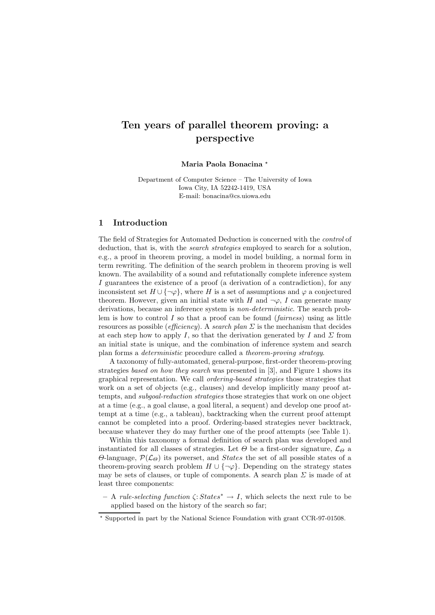# Ten years of parallel theorem proving: a perspective

### Maria Paola Bonacina \*

Department of Computer Science – The University of Iowa Iowa City, IA 52242-1419, USA E-mail: bonacina@cs.uiowa.edu

# 1 Introduction

The field of Strategies for Automated Deduction is concerned with the control of deduction, that is, with the *search strategies* employed to search for a solution, e.g., a proof in theorem proving, a model in model building, a normal form in term rewriting. The definition of the search problem in theorem proving is well known. The availability of a sound and refutationally complete inference system I guarantees the existence of a proof (a derivation of a contradiction), for any inconsistent set  $H \cup \{\neg \varphi\}$ , where H is a set of assumptions and  $\varphi$  a conjectured theorem. However, given an initial state with H and  $\neg \varphi$ , I can generate many derivations, because an inference system is non-deterministic. The search problem is how to control I so that a proof can be found  $(fairness)$  using as little resources as possible (efficiency). A search plan  $\Sigma$  is the mechanism that decides at each step how to apply I, so that the derivation generated by I and  $\Sigma$  from an initial state is unique, and the combination of inference system and search plan forms a deterministic procedure called a theorem-proving strategy.

A taxonomy of fully-automated, general-purpose, first-order theorem-proving strategies based on how they search was presented in [3], and Figure 1 shows its graphical representation. We call ordering-based strategies those strategies that work on a set of objects (e.g., clauses) and develop implicitly many proof attempts, and *subgoal-reduction strategies* those strategies that work on one object at a time (e.g., a goal clause, a goal literal, a sequent) and develop one proof attempt at a time (e.g., a tableau), backtracking when the current proof attempt cannot be completed into a proof. Ordering-based strategies never backtrack, because whatever they do may further one of the proof attempts (see Table 1).

Within this taxonomy a formal definition of search plan was developed and instantiated for all classes of strategies. Let  $\Theta$  be a first-order signature,  $\mathcal{L}_{\Theta}$  a Θ-language,  $\mathcal{P}(\mathcal{L}_{\Theta})$  its powerset, and *States* the set of all possible states of a theorem-proving search problem  $H \cup \{\neg \varphi\}$ . Depending on the strategy states may be sets of clauses, or tuple of components. A search plan  $\Sigma$  is made of at least three components:

– A rule-selecting function  $\zeta: States^* \to I$ , which selects the next rule to be applied based on the history of the search so far;

<sup>⋆</sup> Supported in part by the National Science Foundation with grant CCR-97-01508.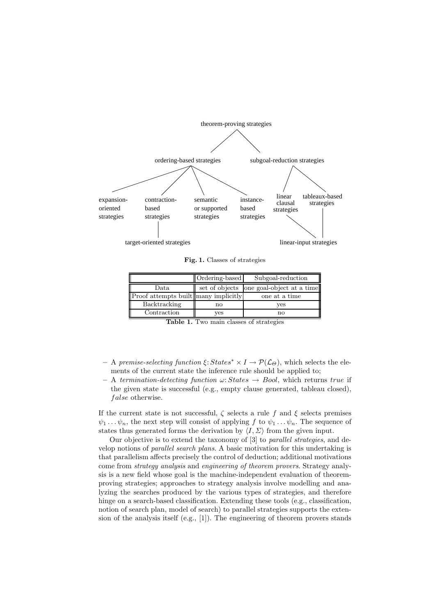

Fig. 1. Classes of strategies

|                                      | Ordering-based | Subgoal-reduction                        |
|--------------------------------------|----------------|------------------------------------------|
| Data                                 |                | set of objects one goal-object at a time |
| Proof attempts built many implicitly |                | one at a time                            |
| Backtracking                         | no             | ves                                      |
| Contraction                          | ves            | nο                                       |

Table 1. Two main classes of strategies

- A premise-selecting function  $\xi: States^* \times I \rightarrow \mathcal{P}(\mathcal{L}_{\Theta})$ , which selects the elements of the current state the inference rule should be applied to;
- A termination-detecting function  $\omega: States \rightarrow Bool$ , which returns true if the given state is successful (e.g., empty clause generated, tableau closed), false otherwise.

If the current state is not successful,  $\zeta$  selects a rule f and  $\xi$  selects premises  $\psi_1 \dots \psi_n$ , the next step will consist of applying f to  $\psi_1 \dots \psi_n$ . The sequence of states thus generated forms the derivation by  $\langle I, \Sigma \rangle$  from the given input.

Our objective is to extend the taxonomy of [3] to parallel strategies, and develop notions of parallel search plans. A basic motivation for this undertaking is that parallelism affects precisely the control of deduction; additional motivations come from strategy analysis and engineering of theorem provers. Strategy analysis is a new field whose goal is the machine-independent evaluation of theoremproving strategies; approaches to strategy analysis involve modelling and analyzing the searches produced by the various types of strategies, and therefore hinge on a search-based classification. Extending these tools (e.g., classification, notion of search plan, model of search) to parallel strategies supports the extension of the analysis itself (e.g., [1]). The engineering of theorem provers stands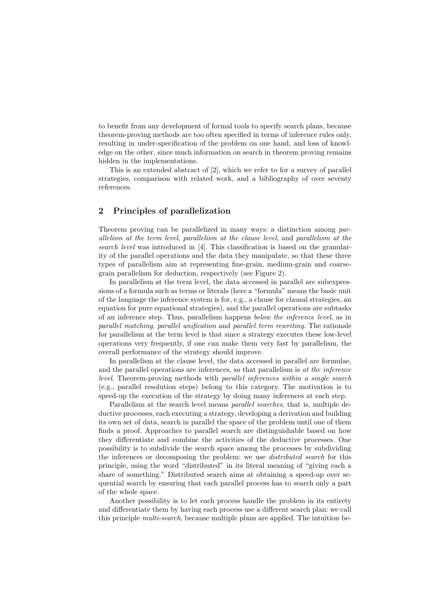to benefit from any development of formal tools to specify search plans, because theorem-proving methods are too often specified in terms of inference rules only, resulting in under-specification of the problem on one hand, and loss of knowledge on the other, since much information on search in theorem proving remains hidden in the implementations.

This is an extended abstract of [2], which we refer to for a survey of parallel strategies, comparison with related work, and a bibliography of over seventy references.

# 2 Principles of parallelization

Theorem proving can be parallelized in many ways: a distinction among parallelism at the term level, parallelism at the clause level, and parallelism at the search level was introduced in [4]. This classification is based on the granularity of the parallel operations and the data they manipulate, so that these three types of parallelism aim at representing fine-grain, medium-grain and coarsegrain parallelism for deduction, respectively (see Figure 2).

In parallelism at the term level, the data accessed in parallel are subexpressions of a formula such as terms or literals (here a "formula" means the basic unit of the language the inference system is for, e.g., a clause for clausal strategies, an equation for pure equational strategies), and the parallel operations are subtasks of an inference step. Thus, parallelism happens below the inference level, as in parallel matching, parallel unification and parallel term rewriting. The rationale for parallelism at the term level is that since a strategy executes these low-level operations very frequently, if one can make them very fast by parallelism, the overall performance of the strategy should improve.

In parallelism at the clause level, the data accessed in parallel are formulae, and the parallel operations are inferences, so that parallelism is at the inference level. Theorem-proving methods with parallel inferences within a single search (e.g., parallel resolution steps) belong to this category. The motivation is to speed-up the execution of the strategy by doing many inferences at each step.

Parallelism at the search level means parallel searches, that is, multiple deductive processes, each executing a strategy, developing a derivation and building its own set of data, search in parallel the space of the problem until one of them finds a proof. Approaches to parallel search are distinguishable based on how they differentiate and combine the activities of the deductive processes. One possibility is to subdivide the search space among the processes by subdividing the inferences or decomposing the problem: we use distributed search for this principle, using the word "distributed" in its literal meaning of "giving each a share of something." Distributed search aims at obtaining a speed-up over sequential search by ensuring that each parallel process has to search only a part of the whole space.

Another possibility is to let each process handle the problem in its entirety and differentiate them by having each process use a different search plan: we call this principle multi-search, because multiple plans are applied. The intuition be-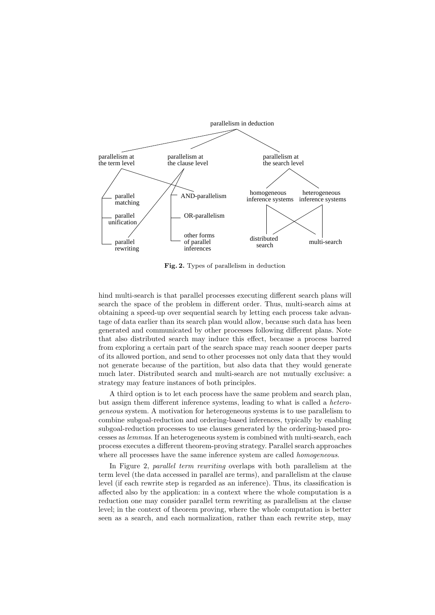

Fig. 2. Types of parallelism in deduction

hind multi-search is that parallel processes executing different search plans will search the space of the problem in different order. Thus, multi-search aims at obtaining a speed-up over sequential search by letting each process take advantage of data earlier than its search plan would allow, because such data has been generated and communicated by other processes following different plans. Note that also distributed search may induce this effect, because a process barred from exploring a certain part of the search space may reach sooner deeper parts of its allowed portion, and send to other processes not only data that they would not generate because of the partition, but also data that they would generate much later. Distributed search and multi-search are not mutually exclusive: a strategy may feature instances of both principles.

A third option is to let each process have the same problem and search plan, but assign them different inference systems, leading to what is called a heterogeneous system. A motivation for heterogeneous systems is to use parallelism to combine subgoal-reduction and ordering-based inferences, typically by enabling subgoal-reduction processes to use clauses generated by the ordering-based processes as lemmas. If an heterogeneous system is combined with multi-search, each process executes a different theorem-proving strategy. Parallel search approaches where all processes have the same inference system are called *homogeneous*.

In Figure 2, parallel term rewriting overlaps with both parallelism at the term level (the data accessed in parallel are terms), and parallelism at the clause level (if each rewrite step is regarded as an inference). Thus, its classification is affected also by the application: in a context where the whole computation is a reduction one may consider parallel term rewriting as parallelism at the clause level; in the context of theorem proving, where the whole computation is better seen as a search, and each normalization, rather than each rewrite step, may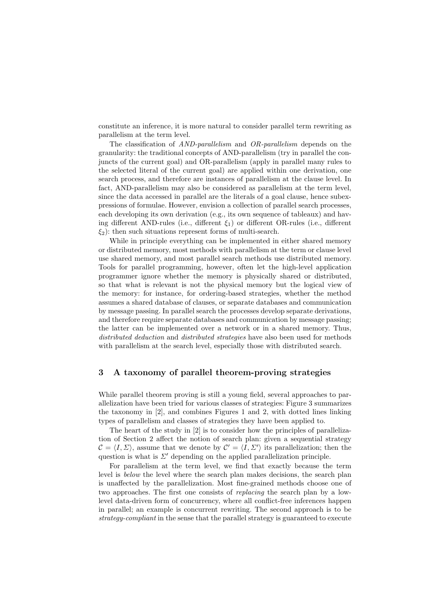constitute an inference, it is more natural to consider parallel term rewriting as parallelism at the term level.

The classification of AND-parallelism and OR-parallelism depends on the granularity: the traditional concepts of AND-parallelism (try in parallel the conjuncts of the current goal) and OR-parallelism (apply in parallel many rules to the selected literal of the current goal) are applied within one derivation, one search process, and therefore are instances of parallelism at the clause level. In fact, AND-parallelism may also be considered as parallelism at the term level, since the data accessed in parallel are the literals of a goal clause, hence subexpressions of formulae. However, envision a collection of parallel search processes, each developing its own derivation (e.g., its own sequence of tableaux) and having different AND-rules (i.e., different  $\xi_1$ ) or different OR-rules (i.e., different  $\xi_2$ : then such situations represent forms of multi-search.

While in principle everything can be implemented in either shared memory or distributed memory, most methods with parallelism at the term or clause level use shared memory, and most parallel search methods use distributed memory. Tools for parallel programming, however, often let the high-level application programmer ignore whether the memory is physically shared or distributed, so that what is relevant is not the physical memory but the logical view of the memory: for instance, for ordering-based strategies, whether the method assumes a shared database of clauses, or separate databases and communication by message passing. In parallel search the processes develop separate derivations, and therefore require separate databases and communication by message passing; the latter can be implemented over a network or in a shared memory. Thus, distributed deduction and distributed strategies have also been used for methods with parallelism at the search level, especially those with distributed search.

## 3 A taxonomy of parallel theorem-proving strategies

While parallel theorem proving is still a young field, several approaches to parallelization have been tried for various classes of strategies: Figure 3 summarizes the taxonomy in [2], and combines Figures 1 and 2, with dotted lines linking types of parallelism and classes of strategies they have been applied to.

The heart of the study in [2] is to consider how the principles of parallelization of Section 2 affect the notion of search plan: given a sequential strategy  $\mathcal{C} = \langle I, \Sigma \rangle$ , assume that we denote by  $\mathcal{C}' = \langle I, \Sigma' \rangle$  its parallelization; then the question is what is  $\Sigma'$  depending on the applied parallelization principle.

For parallelism at the term level, we find that exactly because the term level is below the level where the search plan makes decisions, the search plan is unaffected by the parallelization. Most fine-grained methods choose one of two approaches. The first one consists of replacing the search plan by a lowlevel data-driven form of concurrency, where all conflict-free inferences happen in parallel; an example is concurrent rewriting. The second approach is to be strategy-compliant in the sense that the parallel strategy is guaranteed to execute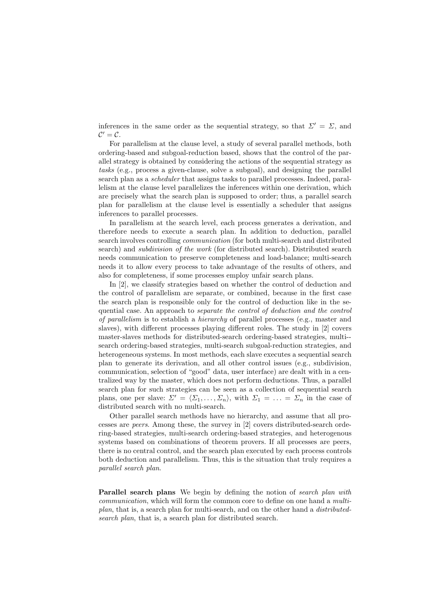inferences in the same order as the sequential strategy, so that  $\Sigma' = \Sigma$ , and  $\mathcal{C}'=\mathcal{C}.$ 

For parallelism at the clause level, a study of several parallel methods, both ordering-based and subgoal-reduction based, shows that the control of the parallel strategy is obtained by considering the actions of the sequential strategy as tasks (e.g., process a given-clause, solve a subgoal), and designing the parallel search plan as a scheduler that assigns tasks to parallel processes. Indeed, parallelism at the clause level parallelizes the inferences within one derivation, which are precisely what the search plan is supposed to order; thus, a parallel search plan for parallelism at the clause level is essentially a scheduler that assigns inferences to parallel processes.

In parallelism at the search level, each process generates a derivation, and therefore needs to execute a search plan. In addition to deduction, parallel search involves controlling communication (for both multi-search and distributed search) and subdivision of the work (for distributed search). Distributed search needs communication to preserve completeness and load-balance; multi-search needs it to allow every process to take advantage of the results of others, and also for completeness, if some processes employ unfair search plans.

In [2], we classify strategies based on whether the control of deduction and the control of parallelism are separate, or combined, because in the first case the search plan is responsible only for the control of deduction like in the sequential case. An approach to separate the control of deduction and the control of parallelism is to establish a hierarchy of parallel processes (e.g., master and slaves), with different processes playing different roles. The study in [2] covers master-slaves methods for distributed-search ordering-based strategies, multi- search ordering-based strategies, multi-search subgoal-reduction strategies, and heterogeneous systems. In most methods, each slave executes a sequential search plan to generate its derivation, and all other control issues (e.g., subdivision, communication, selection of "good" data, user interface) are dealt with in a centralized way by the master, which does not perform deductions. Thus, a parallel search plan for such strategies can be seen as a collection of sequential search plans, one per slave:  $\Sigma' = \langle \Sigma_1, \ldots, \Sigma_n \rangle$ , with  $\Sigma_1 = \ldots = \Sigma_n$  in the case of distributed search with no multi-search.

Other parallel search methods have no hierarchy, and assume that all processes are peers. Among these, the survey in [2] covers distributed-search ordering-based strategies, multi-search ordering-based strategies, and heterogenous systems based on combinations of theorem provers. If all processes are peers, there is no central control, and the search plan executed by each process controls both deduction and parallelism. Thus, this is the situation that truly requires a parallel search plan.

**Parallel search plans** We begin by defining the notion of *search plan with* communication, which will form the common core to define on one hand a multiplan, that is, a search plan for multi-search, and on the other hand a distributedsearch plan, that is, a search plan for distributed search.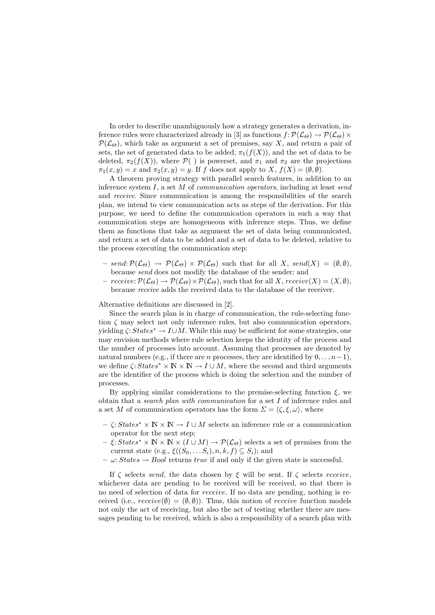In order to describe unambiguously how a strategy generates a derivation, inference rules were characterized already in [3] as functions  $f: \mathcal{P}(\mathcal{L}_{\Theta}) \to \mathcal{P}(\mathcal{L}_{\Theta}) \times$  $\mathcal{P}(\mathcal{L}_{\Theta})$ , which take as argument a set of premises, say X, and return a pair of sets, the set of generated data to be added,  $\pi_1(f(X))$ , and the set of data to be deleted,  $\pi_2(f(X))$ , where  $\mathcal{P}(\ )$  is powerset, and  $\pi_1$  and  $\pi_2$  are the projections  $\pi_1(x, y) = x$  and  $\pi_2(x, y) = y$ . If f does not apply to X,  $f(X) = (\emptyset, \emptyset)$ .

A theorem proving strategy with parallel search features, in addition to an inference system  $I$ , a set  $M$  of *communication operators*, including at least send and receive. Since communication is among the responsibilities of the search plan, we intend to view communication acts as steps of the derivation. For this purpose, we need to define the communication operators in such a way that communication steps are homogeneous with inference steps. Thus, we define them as functions that take as argument the set of data being communicated, and return a set of data to be added and a set of data to be deleted, relative to the process executing the communication step:

- $send: \mathcal{P}(\mathcal{L}_{\Theta}) \rightarrow \mathcal{P}(\mathcal{L}_{\Theta}) \times \mathcal{P}(\mathcal{L}_{\Theta})$  such that for all X, send(X) =  $(\emptyset, \emptyset)$ , because send does not modify the database of the sender; and
- $\text{ receive: } \mathcal{P}(\mathcal{L}_{\Theta}) \to \mathcal{P}(\mathcal{L}_{\Theta}) \times \mathcal{P}(\mathcal{L}_{\Theta})$ , such that for all X,  $\text{receive}(X) = (X, \emptyset)$ , because receive adds the received data to the database of the receiver.

Alternative definitions are discussed in [2].

Since the search plan is in charge of communication, the rule-selecting function  $\zeta$  may select not only inference rules, but also communication operators, yielding  $\zeta: States^* \to I \cup M$ . While this may be sufficient for some strategies, one may envision methods where rule selection keeps the identity of the process and the number of processes into account. Assuming that processes are denoted by natural numbers (e.g., if there are *n* processes, they are identified by  $0, \ldots, n-1$ ), we define  $\zeta: States^* \times \mathbb{N} \times \mathbb{N} \to I \cup M$ , where the second and third arguments are the identifier of the process which is doing the selection and the number of processes.

By applying similar considerations to the premise-selecting function  $\xi$ , we obtain that a search plan with communication for a set I of inference rules and a set M of communication operators has the form  $\Sigma = \langle \zeta, \xi, \omega \rangle$ , where

- $\zeta: States^* \times \mathbb{N} \times \mathbb{N} \to I \cup M$  selects an inference rule or a communication operator for the next step;
- $\xi: States^* \times \mathbb{N} \times \mathbb{N} \times (I \cup M) \to \mathcal{P}(\mathcal{L}_{\Theta})$  selects a set of premises from the current state (e.g.,  $\xi((S_0, \ldots S_i), n, k, f) \subseteq S_i$ ); and
- $-\omega: States \rightarrow Bool$  returns true if and only if the given state is successful.

If  $\zeta$  selects send, the data chosen by  $\xi$  will be sent. If  $\zeta$  selects receive, whichever data are pending to be received will be received, so that there is no need of selection of data for receive. If no data are pending, nothing is received (i.e.,  $receive(\emptyset) = (\emptyset, \emptyset)$ ). Thus, this notion of *receive* function models not only the act of receiving, but also the act of testing whether there are messages pending to be received, which is also a responsibility of a search plan with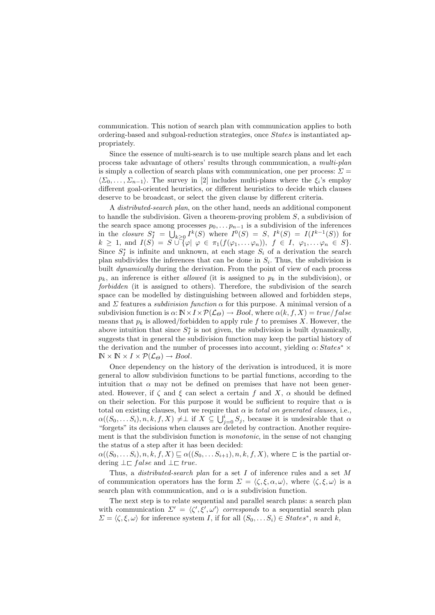communication. This notion of search plan with communication applies to both ordering-based and subgoal-reduction strategies, once States is instantiated appropriately.

Since the essence of multi-search is to use multiple search plans and let each process take advantage of others' results through communication, a multi-plan is simply a collection of search plans with communication, one per process:  $\Sigma =$  $\langle \Sigma_0, \ldots, \Sigma_{n-1} \rangle$ . The survey in [2] includes multi-plans where the  $\xi_i$ 's employ different goal-oriented heuristics, or different heuristics to decide which clauses deserve to be broadcast, or select the given clause by different criteria.

A distributed-search plan, on the other hand, needs an additional component to handle the subdivision. Given a theorem-proving problem S, a subdivision of the search space among processes  $p_0, \ldots, p_{n-1}$  is a subdivision of the inferences in the *closure*  $S_I^* = \bigcup_{k \geq 0} I^k(S)$  where  $I^0(S) = S$ ,  $I^k(S) = I(I^{k-1}(S))$  for  $k \geq 1$ , and  $I(S) = S \cup {\varphi \mid \varphi \in \pi_1(f(\varphi_1, \ldots \varphi_n)), \ f \in I, \ \varphi_1, \ldots \varphi_n \in S}.$ Since  $S_I^*$  is infinite and unknown, at each stage  $S_i$  of a derivation the search plan subdivides the inferences that can be done in  $S_i$ . Thus, the subdivision is built *dynamically* during the derivation. From the point of view of each process  $p_k$ , an inference is either *allowed* (it is assigned to  $p_k$  in the subdivision), or forbidden (it is assigned to others). Therefore, the subdivision of the search space can be modelled by distinguishing between allowed and forbidden steps, and  $\Sigma$  features a *subdivision function*  $\alpha$  for this purpose. A minimal version of a subdivision function is  $\alpha: \mathbb{N} \times I \times \mathcal{P}(\mathcal{L}_{\Theta}) \to \text{Bool}$ , where  $\alpha(k, f, X) = \text{true}/\text{false}$ means that  $p_k$  is allowed/forbidden to apply rule f to premises X. However, the above intuition that since  $S_I^*$  is not given, the subdivision is built dynamically, suggests that in general the subdivision function may keep the partial history of the derivation and the number of processes into account, yielding  $\alpha$ : States<sup>\*</sup> ×  $\mathbb{N} \times \mathbb{N} \times I \times \mathcal{P}(\mathcal{L}_{\Theta}) \rightarrow Bool.$ 

Once dependency on the history of the derivation is introduced, it is more general to allow subdivision functions to be partial functions, according to the intuition that  $\alpha$  may not be defined on premises that have not been generated. However, if  $\zeta$  and  $\xi$  can select a certain f and X,  $\alpha$  should be defined on their selection. For this purpose it would be sufficient to require that  $\alpha$  is total on existing clauses, but we require that  $\alpha$  is *total on generated clauses*, i.e.,  $\alpha((S_0, \ldots S_i), n, k, f, X) \neq \perp \text{ if } X \subseteq \bigcup_{j=0}^i S_j$ , because it is undesirable that  $\alpha$ "forgets" its decisions when clauses are deleted by contraction. Another requirement is that the subdivision function is *monotonic*, in the sense of not changing the status of a step after it has been decided:

 $\alpha((S_0, \ldots S_i), n, k, f, X) \sqsubseteq \alpha((S_0, \ldots S_{i+1}), n, k, f, X)$ , where  $\sqsubset$  is the partial ordering  $\bot \sqsubset false$  and  $\bot \sqsubset true$ .

Thus, a *distributed-search plan* for a set  $I$  of inference rules and a set  $M$ of communication operators has the form  $\Sigma = \langle \zeta, \xi, \alpha, \omega \rangle$ , where  $\langle \zeta, \xi, \omega \rangle$  is a search plan with communication, and  $\alpha$  is a subdivision function.

The next step is to relate sequential and parallel search plans: a search plan with communication  $\Sigma' = \langle \zeta', \xi', \omega' \rangle$  corresponds to a sequential search plan  $\Sigma = \langle \zeta, \xi, \omega \rangle$  for inference system I, if for all  $(S_0, \ldots S_i) \in States^*, n$  and k,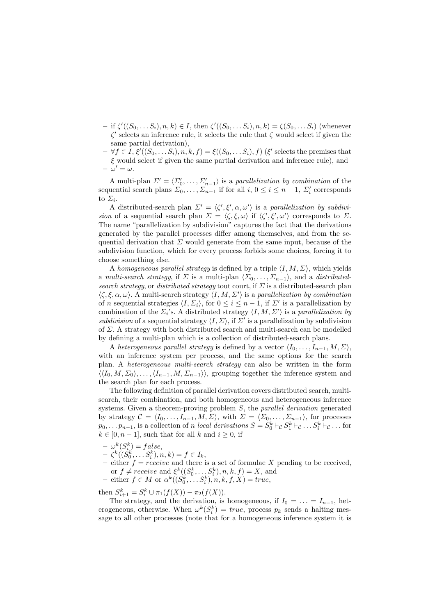- $-$  if  $\zeta'((S_0, \ldots S_i), n, k) \in I$ , then  $\zeta'((S_0, \ldots S_i), n, k) = \zeta(S_0, \ldots S_i)$  (whenever  $\zeta'$  selects an inference rule, it selects the rule that  $\zeta$  would select if given the same partial derivation),
- $\forall f \in \overline{I}, \xi'((S_0, \ldots S_i), n, k, f) = \xi((S_0, \ldots S_i), f)$  ( $\xi'$  selects the premises that  $\xi$  would select if given the same partial derivation and inference rule), and  $-\omega'=\omega$ .

A multi-plan  $\Sigma' = \langle \Sigma'_0, \ldots, \Sigma'_{n-1} \rangle$  is a parallelization by combination of the sequential search plans  $\Sigma_0, \ldots, \Sigma_{n-1}$  if for all  $i, 0 \le i \le n-1$ ,  $\Sigma_i'$  corresponds to  $\Sigma_i$ .

A distributed-search plan  $\Sigma' = \langle \zeta', \xi', \alpha, \omega' \rangle$  is a parallelization by subdivision of a sequential search plan  $\Sigma = \langle \zeta, \xi, \omega \rangle$  if  $\langle \zeta', \xi', \omega' \rangle$  corresponds to  $\Sigma$ . The name "parallelization by subdivision" captures the fact that the derivations generated by the parallel processes differ among themselves, and from the sequential derivation that  $\Sigma$  would generate from the same input, because of the subdivision function, which for every process forbids some choices, forcing it to choose something else.

A homogeneous parallel strategy is defined by a triple  $\langle I, M, \Sigma \rangle$ , which yields a multi-search strategy, if  $\Sigma$  is a multi-plan  $\langle \Sigma_0, \ldots, \Sigma_{n-1} \rangle$ , and a distributedsearch strategy, or distributed strategy tout court, if  $\Sigma$  is a distributed-search plan  $\langle \zeta, \xi, \alpha, \omega \rangle$ . A multi-search strategy  $\langle I, M, \Sigma' \rangle$  is a parallelization by combination of n sequential strategies  $\langle I, \Sigma_i \rangle$ , for  $0 \leq i \leq n-1$ , if  $\Sigma'$  is a parallelization by combination of the  $\Sigma_i$ 's. A distributed strategy  $\langle I, M, \Sigma' \rangle$  is a parallelization by subdivision of a sequential strategy  $\langle I, \Sigma \rangle$ , if  $\Sigma'$  is a parallelization by subdivision of  $\Sigma$ . A strategy with both distributed search and multi-search can be modelled by defining a multi-plan which is a collection of distributed-search plans.

A heterogeneous parallel strategy is defined by a vector  $\langle I_0, \ldots, I_{n-1}, M, \Sigma \rangle$ , with an inference system per process, and the same options for the search plan. A heterogeneous multi-search strategy can also be written in the form  $\langle I_0, M, \Sigma_0 \rangle, \ldots, \langle I_{n-1}, M, \Sigma_{n-1} \rangle$ , grouping together the inference system and the search plan for each process.

The following definition of parallel derivation covers distributed search, multisearch, their combination, and both homogeneous and heterogeneous inference systems. Given a theorem-proving problem S, the *parallel derivation* generated by strategy  $C = \langle I_0, \ldots, I_{n-1}, M, \Sigma \rangle$ , with  $\Sigma = \langle \Sigma_0, \ldots, \Sigma_{n-1} \rangle$ , for processes  $p_0, \ldots p_{n-1}$ , is a collection of n local derivations  $S = S_0^k \vdash_{\mathcal{C}} S_1^k \vdash_{\mathcal{C}} \ldots S_i^k \vdash_{\mathcal{C}} \ldots$  for  $k \in [0, n-1]$ , such that for all k and  $i \geq 0$ , if

- $-\omega^k(S^k_{i}) = false,$
- $-\zeta^k((\check{S_0^k},\ldots S_i^k),n,k) = f \in I_k,$
- either  $f = receive$  and there is a set of formulae X pending to be received, or  $f \neq receive$  and  $\xi^k((S_0^k, \ldots S_i^k), n, k, f) = X$ , and
- either  $f \in M$  or  $\alpha^k((S_0^k, \ldots S_i^k), n, k, f, X) = true$ ,

then  $S_{i+1}^k = S_i^k \cup \pi_1(f(X)) - \pi_2(f(X)).$ 

The strategy, and the derivation, is homogeneous, if  $I_0 = \ldots = I_{n-1}$ , heterogeneous, otherwise. When  $\omega^k(S_i^k) = true$ , process  $p_k$  sends a halting message to all other processes (note that for a homogeneous inference system it is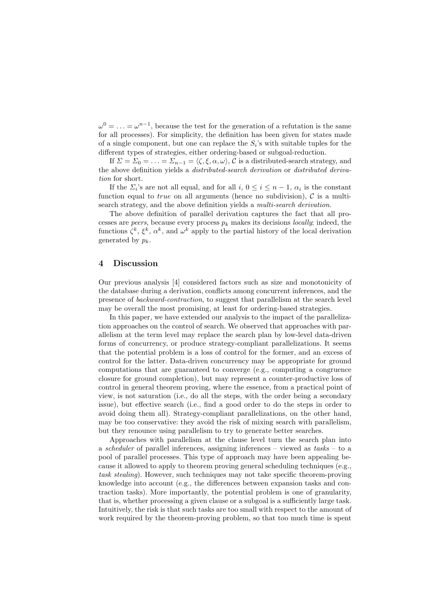$\omega^0 = \ldots = \omega^{n-1}$ , because the test for the generation of a refutation is the same for all processes). For simplicity, the definition has been given for states made of a single component, but one can replace the  $S_i$ 's with suitable tuples for the different types of strategies, either ordering-based or subgoal-reduction.

If  $\Sigma = \Sigma_0 = \ldots = \Sigma_{n-1} = \langle \zeta, \xi, \alpha, \omega \rangle$ , C is a distributed-search strategy, and the above definition yields a distributed-search derivation or distributed derivation for short.

If the  $\Sigma_i$ 's are not all equal, and for all  $i, 0 \le i \le n-1$ ,  $\alpha_i$  is the constant function equal to *true* on all arguments (hence no subdivision),  $\mathcal C$  is a multisearch strategy, and the above definition yields a multi-search derivation.

The above definition of parallel derivation captures the fact that all processes are *peers*, because every process  $p_k$  makes its decisions *locally*; indeed, the functions  $\zeta^k$ ,  $\xi^k$ ,  $\alpha^k$ , and  $\omega^k$  apply to the partial history of the local derivation generated by  $p_k$ .

#### 4 Discussion

Our previous analysis [4] considered factors such as size and monotonicity of the database during a derivation, conflicts among concurrent inferences, and the presence of backward-contraction, to suggest that parallelism at the search level may be overall the most promising, at least for ordering-based strategies.

In this paper, we have extended our analysis to the impact of the parallelization approaches on the control of search. We observed that approaches with parallelism at the term level may replace the search plan by low-level data-driven forms of concurrency, or produce strategy-compliant parallelizations. It seems that the potential problem is a loss of control for the former, and an excess of control for the latter. Data-driven concurrency may be appropriate for ground computations that are guaranteed to converge (e.g., computing a congruence closure for ground completion), but may represent a counter-productive loss of control in general theorem proving, where the essence, from a practical point of view, is not saturation (i.e., do all the steps, with the order being a secondary issue), but effective search (i.e., find a good order to do the steps in order to avoid doing them all). Strategy-compliant parallelizations, on the other hand, may be too conservative: they avoid the risk of mixing search with parallelism, but they renounce using parallelism to try to generate better searches.

Approaches with parallelism at the clause level turn the search plan into a *scheduler* of parallel inferences, assigning inferences – viewed as  $tasks - to$  a pool of parallel processes. This type of approach may have been appealing because it allowed to apply to theorem proving general scheduling techniques (e.g., task stealing). However, such techniques may not take specific theorem-proving knowledge into account (e.g., the differences between expansion tasks and contraction tasks). More importantly, the potential problem is one of granularity, that is, whether processing a given clause or a subgoal is a sufficiently large task. Intuitively, the risk is that such tasks are too small with respect to the amount of work required by the theorem-proving problem, so that too much time is spent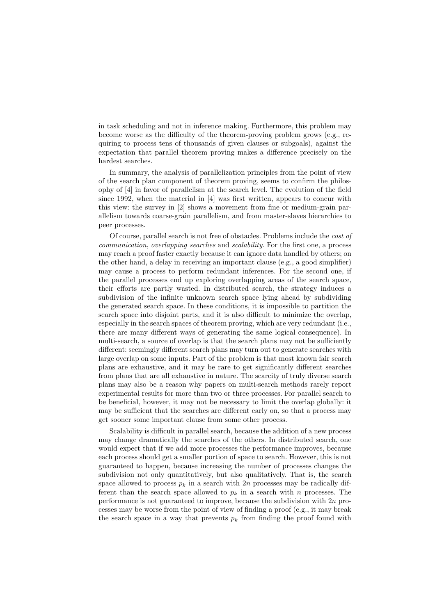in task scheduling and not in inference making. Furthermore, this problem may become worse as the difficulty of the theorem-proving problem grows (e.g., requiring to process tens of thousands of given clauses or subgoals), against the expectation that parallel theorem proving makes a difference precisely on the hardest searches.

In summary, the analysis of parallelization principles from the point of view of the search plan component of theorem proving, seems to confirm the philosophy of [4] in favor of parallelism at the search level. The evolution of the field since 1992, when the material in [4] was first written, appears to concur with this view: the survey in [2] shows a movement from fine or medium-grain parallelism towards coarse-grain parallelism, and from master-slaves hierarchies to peer processes.

Of course, parallel search is not free of obstacles. Problems include the cost of communication, overlapping searches and scalability. For the first one, a process may reach a proof faster exactly because it can ignore data handled by others; on the other hand, a delay in receiving an important clause (e.g., a good simplifier) may cause a process to perform redundant inferences. For the second one, if the parallel processes end up exploring overlapping areas of the search space, their efforts are partly wasted. In distributed search, the strategy induces a subdivision of the infinite unknown search space lying ahead by subdividing the generated search space. In these conditions, it is impossible to partition the search space into disjoint parts, and it is also difficult to minimize the overlap, especially in the search spaces of theorem proving, which are very redundant (i.e., there are many different ways of generating the same logical consequence). In multi-search, a source of overlap is that the search plans may not be sufficiently different: seemingly different search plans may turn out to generate searches with large overlap on some inputs. Part of the problem is that most known fair search plans are exhaustive, and it may be rare to get significantly different searches from plans that are all exhaustive in nature. The scarcity of truly diverse search plans may also be a reason why papers on multi-search methods rarely report experimental results for more than two or three processes. For parallel search to be beneficial, however, it may not be necessary to limit the overlap globally: it may be sufficient that the searches are different early on, so that a process may get sooner some important clause from some other process.

Scalability is difficult in parallel search, because the addition of a new process may change dramatically the searches of the others. In distributed search, one would expect that if we add more processes the performance improves, because each process should get a smaller portion of space to search. However, this is not guaranteed to happen, because increasing the number of processes changes the subdivision not only quantitatively, but also qualitatively. That is, the search space allowed to process  $p_k$  in a search with 2n processes may be radically different than the search space allowed to  $p_k$  in a search with n processes. The performance is not guaranteed to improve, because the subdivision with 2n processes may be worse from the point of view of finding a proof (e.g., it may break the search space in a way that prevents  $p_k$  from finding the proof found with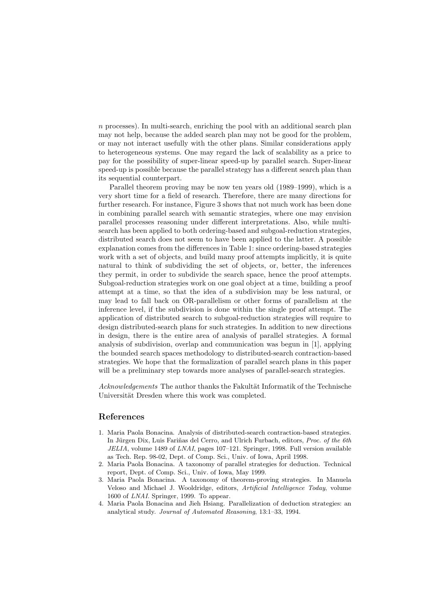n processes). In multi-search, enriching the pool with an additional search plan may not help, because the added search plan may not be good for the problem, or may not interact usefully with the other plans. Similar considerations apply to heterogeneous systems. One may regard the lack of scalability as a price to pay for the possibility of super-linear speed-up by parallel search. Super-linear speed-up is possible because the parallel strategy has a different search plan than its sequential counterpart.

Parallel theorem proving may be now ten years old (1989–1999), which is a very short time for a field of research. Therefore, there are many directions for further research. For instance, Figure 3 shows that not much work has been done in combining parallel search with semantic strategies, where one may envision parallel processes reasoning under different interpretations. Also, while multisearch has been applied to both ordering-based and subgoal-reduction strategies, distributed search does not seem to have been applied to the latter. A possible explanation comes from the differences in Table 1: since ordering-based strategies work with a set of objects, and build many proof attempts implicitly, it is quite natural to think of subdividing the set of objects, or, better, the inferences they permit, in order to subdivide the search space, hence the proof attempts. Subgoal-reduction strategies work on one goal object at a time, building a proof attempt at a time, so that the idea of a subdivision may be less natural, or may lead to fall back on OR-parallelism or other forms of parallelism at the inference level, if the subdivision is done within the single proof attempt. The application of distributed search to subgoal-reduction strategies will require to design distributed-search plans for such strategies. In addition to new directions in design, there is the entire area of analysis of parallel strategies. A formal analysis of subdivision, overlap and communication was begun in [1], applying the bounded search spaces methodology to distributed-search contraction-based strategies. We hope that the formalization of parallel search plans in this paper will be a preliminary step towards more analyses of parallel-search strategies.

Acknowledgements The author thanks the Fakultät Informatik of the Technische Universität Dresden where this work was completed.

## References

- 1. Maria Paola Bonacina. Analysis of distributed-search contraction-based strategies. In Jürgen Dix, Luis Fariñas del Cerro, and Ulrich Furbach, editors, *Proc. of the 6th* JELIA, volume 1489 of LNAI, pages 107–121. Springer, 1998. Full version available as Tech. Rep. 98-02, Dept. of Comp. Sci., Univ. of Iowa, April 1998.
- 2. Maria Paola Bonacina. A taxonomy of parallel strategies for deduction. Technical report, Dept. of Comp. Sci., Univ. of Iowa, May 1999.
- 3. Maria Paola Bonacina. A taxonomy of theorem-proving strategies. In Manuela Veloso and Michael J. Wooldridge, editors, Artificial Intelligence Today, volume 1600 of LNAI. Springer, 1999. To appear.
- 4. Maria Paola Bonacina and Jieh Hsiang. Parallelization of deduction strategies: an analytical study. Journal of Automated Reasoning, 13:1–33, 1994.